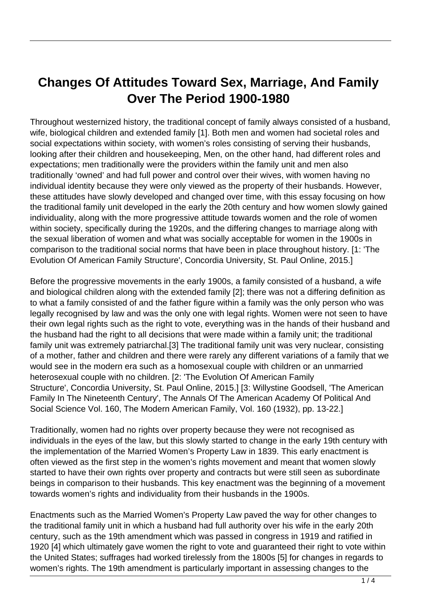## **Changes Of Attitudes Toward Sex, Marriage, And Family Over The Period 1900-1980**

Throughout westernized history, the traditional concept of family always consisted of a husband, wife, biological children and extended family [1]. Both men and women had societal roles and social expectations within society, with women's roles consisting of serving their husbands, looking after their children and housekeeping, Men, on the other hand, had different roles and expectations; men traditionally were the providers within the family unit and men also traditionally 'owned' and had full power and control over their wives, with women having no individual identity because they were only viewed as the property of their husbands. However, these attitudes have slowly developed and changed over time, with this essay focusing on how the traditional family unit developed in the early the 20th century and how women slowly gained individuality, along with the more progressive attitude towards women and the role of women within society, specifically during the 1920s, and the differing changes to marriage along with the sexual liberation of women and what was socially acceptable for women in the 1900s in comparison to the traditional social norms that have been in place throughout history. [1: 'The Evolution Of American Family Structure', Concordia University, St. Paul Online, 2015.]

Before the progressive movements in the early 1900s, a family consisted of a husband, a wife and biological children along with the extended family [2]; there was not a differing definition as to what a family consisted of and the father figure within a family was the only person who was legally recognised by law and was the only one with legal rights. Women were not seen to have their own legal rights such as the right to vote, everything was in the hands of their husband and the husband had the right to all decisions that were made within a family unit; the traditional family unit was extremely patriarchal.[3] The traditional family unit was very nuclear, consisting of a mother, father and children and there were rarely any different variations of a family that we would see in the modern era such as a homosexual couple with children or an unmarried heterosexual couple with no children. [2: 'The Evolution Of American Family Structure', Concordia University, St. Paul Online, 2015.] [3: Willystine Goodsell, 'The American Family In The Nineteenth Century', The Annals Of The American Academy Of Political And Social Science Vol. 160, The Modern American Family, Vol. 160 (1932), pp. 13-22.]

Traditionally, women had no rights over property because they were not recognised as individuals in the eyes of the law, but this slowly started to change in the early 19th century with the implementation of the Married Women's Property Law in 1839. This early enactment is often viewed as the first step in the women's rights movement and meant that women slowly started to have their own rights over property and contracts but were still seen as subordinate beings in comparison to their husbands. This key enactment was the beginning of a movement towards women's rights and individuality from their husbands in the 1900s.

Enactments such as the Married Women's Property Law paved the way for other changes to the traditional family unit in which a husband had full authority over his wife in the early 20th century, such as the 19th amendment which was passed in congress in 1919 and ratified in 1920 [4] which ultimately gave women the right to vote and guaranteed their right to vote within the United States; suffrages had worked tirelessly from the 1800s [5] for changes in regards to women's rights. The 19th amendment is particularly important in assessing changes to the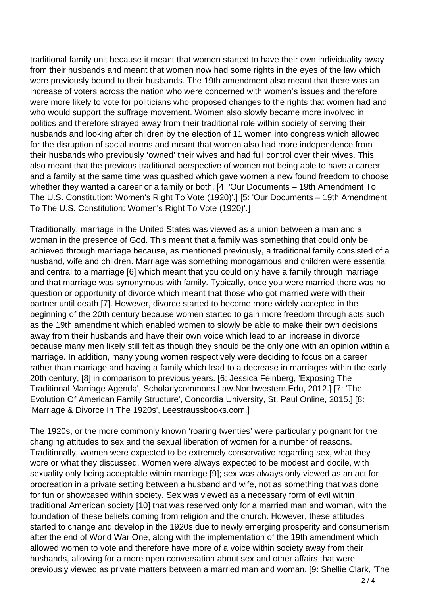traditional family unit because it meant that women started to have their own individuality away from their husbands and meant that women now had some rights in the eyes of the law which were previously bound to their husbands. The 19th amendment also meant that there was an increase of voters across the nation who were concerned with women's issues and therefore were more likely to vote for politicians who proposed changes to the rights that women had and who would support the suffrage movement. Women also slowly became more involved in politics and therefore strayed away from their traditional role within society of serving their husbands and looking after children by the election of 11 women into congress which allowed for the disruption of social norms and meant that women also had more independence from their husbands who previously 'owned' their wives and had full control over their wives. This also meant that the previous traditional perspective of women not being able to have a career and a family at the same time was quashed which gave women a new found freedom to choose whether they wanted a career or a family or both. [4: 'Our Documents – 19th Amendment To The U.S. Constitution: Women's Right To Vote (1920)'.] [5: 'Our Documents – 19th Amendment To The U.S. Constitution: Women's Right To Vote (1920)'.]

Traditionally, marriage in the United States was viewed as a union between a man and a woman in the presence of God. This meant that a family was something that could only be achieved through marriage because, as mentioned previously, a traditional family consisted of a husband, wife and children. Marriage was something monogamous and children were essential and central to a marriage [6] which meant that you could only have a family through marriage and that marriage was synonymous with family. Typically, once you were married there was no question or opportunity of divorce which meant that those who got married were with their partner until death [7]. However, divorce started to become more widely accepted in the beginning of the 20th century because women started to gain more freedom through acts such as the 19th amendment which enabled women to slowly be able to make their own decisions away from their husbands and have their own voice which lead to an increase in divorce because many men likely still felt as though they should be the only one with an opinion within a marriage. In addition, many young women respectively were deciding to focus on a career rather than marriage and having a family which lead to a decrease in marriages within the early 20th century, [8] in comparison to previous years. [6: Jessica Feinberg, 'Exposing The Traditional Marriage Agenda', Scholarlycommons.Law.Northwestern.Edu, 2012.] [7: 'The Evolution Of American Family Structure', Concordia University, St. Paul Online, 2015.] [8: 'Marriage & Divorce In The 1920s', Leestraussbooks.com.]

The 1920s, or the more commonly known 'roaring twenties' were particularly poignant for the changing attitudes to sex and the sexual liberation of women for a number of reasons. Traditionally, women were expected to be extremely conservative regarding sex, what they wore or what they discussed. Women were always expected to be modest and docile, with sexuality only being acceptable within marriage [9]; sex was always only viewed as an act for procreation in a private setting between a husband and wife, not as something that was done for fun or showcased within society. Sex was viewed as a necessary form of evil within traditional American society [10] that was reserved only for a married man and woman, with the foundation of these beliefs coming from religion and the church. However, these attitudes started to change and develop in the 1920s due to newly emerging prosperity and consumerism after the end of World War One, along with the implementation of the 19th amendment which allowed women to vote and therefore have more of a voice within society away from their husbands, allowing for a more open conversation about sex and other affairs that were previously viewed as private matters between a married man and woman. [9: Shellie Clark, 'The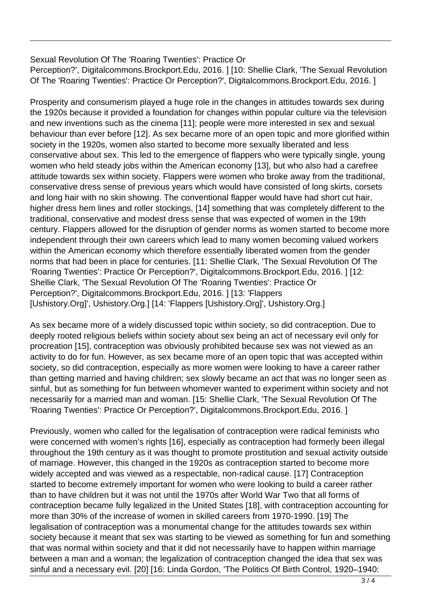Sexual Revolution Of The 'Roaring Twenties': Practice Or Perception?', Digitalcommons.Brockport.Edu, 2016. ] [10: Shellie Clark, 'The Sexual Revolution Of The 'Roaring Twenties': Practice Or Perception?', Digitalcommons.Brockport.Edu, 2016. ]

Prosperity and consumerism played a huge role in the changes in attitudes towards sex during the 1920s because it provided a foundation for changes within popular culture via the television and new inventions such as the cinema [11]; people were more interested in sex and sexual behaviour than ever before [12]. As sex became more of an open topic and more glorified within society in the 1920s, women also started to become more sexually liberated and less conservative about sex. This led to the emergence of flappers who were typically single, young women who held steady jobs within the American economy [13], but who also had a carefree attitude towards sex within society. Flappers were women who broke away from the traditional, conservative dress sense of previous years which would have consisted of long skirts, corsets and long hair with no skin showing. The conventional flapper would have had short cut hair, higher dress hem lines and roller stockings, [14] something that was completely different to the traditional, conservative and modest dress sense that was expected of women in the 19th century. Flappers allowed for the disruption of gender norms as women started to become more independent through their own careers which lead to many women becoming valued workers within the American economy which therefore essentially liberated women from the gender norms that had been in place for centuries. [11: Shellie Clark, 'The Sexual Revolution Of The 'Roaring Twenties': Practice Or Perception?', Digitalcommons.Brockport.Edu, 2016. ] [12: Shellie Clark, 'The Sexual Revolution Of The 'Roaring Twenties': Practice Or Perception?', Digitalcommons.Brockport.Edu, 2016. ] [13: 'Flappers [Ushistory.Org]', Ushistory.Org.] [14: 'Flappers [Ushistory.Org]', Ushistory.Org.]

As sex became more of a widely discussed topic within society, so did contraception. Due to deeply rooted religious beliefs within society about sex being an act of necessary evil only for procreation [15], contraception was obviously prohibited because sex was not viewed as an activity to do for fun. However, as sex became more of an open topic that was accepted within society, so did contraception, especially as more women were looking to have a career rather than getting married and having children; sex slowly became an act that was no longer seen as sinful, but as something for fun between whomever wanted to experiment within society and not necessarily for a married man and woman. [15: Shellie Clark, 'The Sexual Revolution Of The 'Roaring Twenties': Practice Or Perception?', Digitalcommons.Brockport.Edu, 2016. ]

Previously, women who called for the legalisation of contraception were radical feminists who were concerned with women's rights [16], especially as contraception had formerly been illegal throughout the 19th century as it was thought to promote prostitution and sexual activity outside of marriage. However, this changed in the 1920s as contraception started to become more widely accepted and was viewed as a respectable, non-radical cause. [17] Contraception started to become extremely important for women who were looking to build a career rather than to have children but it was not until the 1970s after World War Two that all forms of contraception became fully legalized in the United States [18], with contraception accounting for more than 30% of the increase of women in skilled careers from 1970-1990. [19] The legalisation of contraception was a monumental change for the attitudes towards sex within society because it meant that sex was starting to be viewed as something for fun and something that was normal within society and that it did not necessarily have to happen within marriage between a man and a woman; the legalization of contraception changed the idea that sex was sinful and a necessary evil. [20] [16: Linda Gordon, 'The Politics Of Birth Control, 1920–1940: